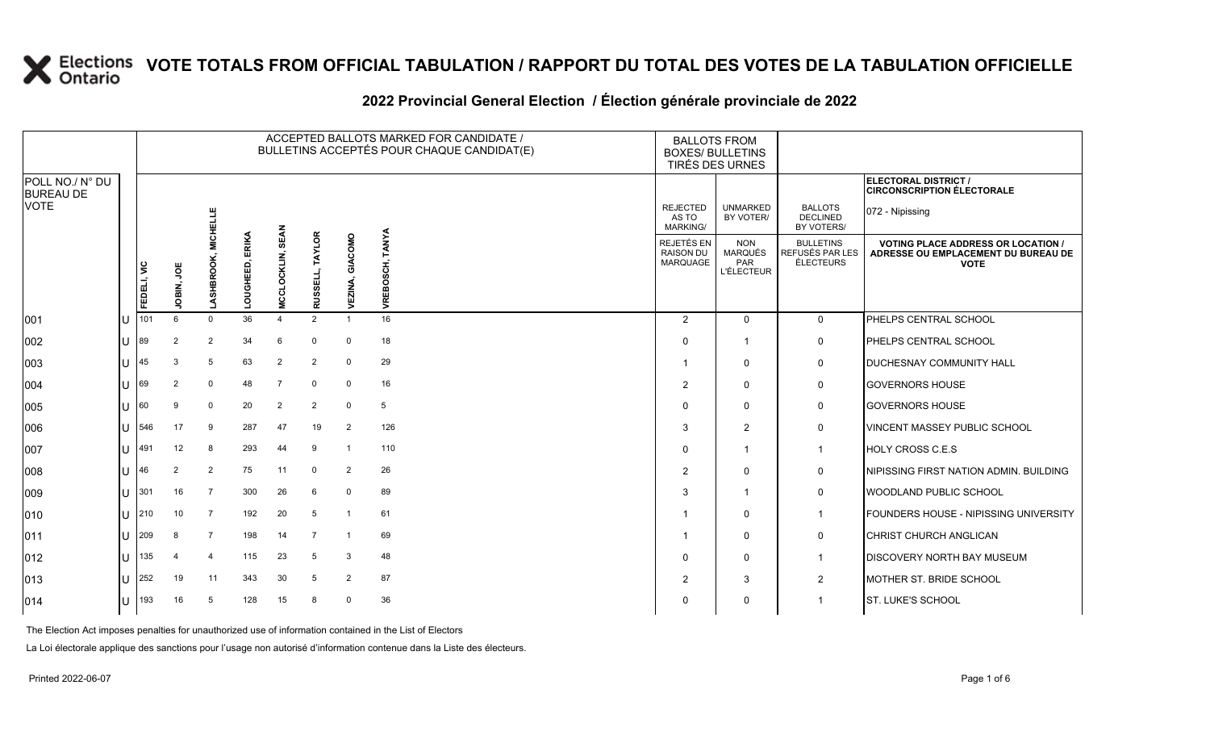### **2022 Provincial General Election / Élection générale provinciale de 2022**

|                                     |     |                           |                     |                           |                                  |                           |                    |                       | ACCEPTED BALLOTS MARKED FOR CANDIDATE /<br>BULLETINS ACCEPTÉS POUR CHAQUE CANDIDAT(E) | <b>BALLOTS FROM</b><br><b>BOXES/ BULLETINS</b><br>TIRÉS DES URNES |                                                  |                                                                                               |                                                                  |
|-------------------------------------|-----|---------------------------|---------------------|---------------------------|----------------------------------|---------------------------|--------------------|-----------------------|---------------------------------------------------------------------------------------|-------------------------------------------------------------------|--------------------------------------------------|-----------------------------------------------------------------------------------------------|------------------------------------------------------------------|
| POLL NO./ N° DU<br><b>BUREAU DE</b> |     |                           |                     |                           |                                  |                           |                    |                       |                                                                                       |                                                                   |                                                  |                                                                                               | <b>ELECTORAL DISTRICT /</b><br><b>CIRCONSCRIPTION ÉLECTORALE</b> |
| <b>VOTE</b>                         |     |                           |                     | ELLE<br>El                |                                  |                           |                    |                       |                                                                                       | <b>REJECTED</b><br>AS TO<br><b>MARKING/</b>                       | <b>UNMARKED</b><br>BY VOTER/                     | <b>BALLOTS</b><br><b>DECLINED</b><br>BY VOTERS/                                               | 072 - Nipissing                                                  |
|                                     |     | FEDELI, VIC<br>JOBIN, JOE | 공<br>호<br>LASHBROOK | ERIKA<br>Ġ<br>而<br>ᅗ<br>ă | <b>SEAN</b><br>O<br>긍<br>ō<br>Ž. | <b>TAYLOR</b><br>RUSSELL, | GIACOMO<br>VEZINA, | <b>TANYA</b><br>VREBO | <b>REJETÉS EN</b><br><b>RAISON DU</b><br>MARQUAGE                                     | <b>NON</b><br>MARQUÉS<br>PAR<br><b>L'ÉLECTEUR</b>                 | <b>BULLETINS</b><br>REFUSÉS PAR LES<br>ÉLECTEURS | <b>VOTING PLACE ADDRESS OR LOCATION</b><br>ADRESSE OU EMPLACEMENT DU BUREAU DE<br><b>VOTE</b> |                                                                  |
| 001                                 |     | 101                       | 6                   | $\Omega$                  | 36                               | $\overline{4}$            | $\overline{2}$     |                       | 16                                                                                    | $\overline{2}$                                                    | $\mathbf{0}$                                     | $\mathbf 0$                                                                                   | PHELPS CENTRAL SCHOOL                                            |
| 002                                 | ПJ  | 89                        | $\overline{2}$      | 2                         | 34                               | 6                         | $\Omega$           | 0                     | 18                                                                                    | $\Omega$                                                          | -1                                               | $\mathbf 0$                                                                                   | PHELPS CENTRAL SCHOOL                                            |
| 003                                 | ПT  | 45                        | 3                   | 5                         | 63                               | $\overline{2}$            | $\overline{2}$     | $\mathbf{0}$          | 29                                                                                    | -1                                                                | $\Omega$                                         | 0                                                                                             | <b>DUCHESNAY COMMUNITY HALL</b>                                  |
| 004                                 | ПJ  | 69                        | $\overline{2}$      | $\mathbf 0$               | 48                               | 7                         | $\mathbf 0$        | 0                     | 16                                                                                    | $\overline{2}$                                                    | $\Omega$                                         | $\mathbf 0$                                                                                   | <b>GOVERNORS HOUSE</b>                                           |
| 005                                 | Ш   | 60                        | 9                   | 0                         | 20                               | $\overline{2}$            | $\overline{2}$     | 0                     | 5                                                                                     | $\Omega$                                                          | $\Omega$                                         | 0                                                                                             | <b>GOVERNORS HOUSE</b>                                           |
| 006                                 | ПT  | 546                       | 17                  | 9                         | 287                              | 47                        | 19                 | $\overline{2}$        | 126                                                                                   | 3                                                                 | $\overline{2}$                                   | $\mathbf 0$                                                                                   | VINCENT MASSEY PUBLIC SCHOOL                                     |
| 007                                 | IП  | 491                       | 12                  | 8                         | 293                              | 44                        | 9                  | -1                    | 110                                                                                   | $\Omega$                                                          | -1                                               | $\mathbf{1}$                                                                                  | <b>HOLY CROSS C.E.S</b>                                          |
| 008                                 | ΙU  | 46                        | $\overline{2}$      | $\overline{2}$            | 75                               | 11                        | $\mathbf 0$        | $\overline{2}$        | 26                                                                                    | $\overline{2}$                                                    | $\Omega$                                         | $\mathbf 0$                                                                                   | NIPISSING FIRST NATION ADMIN. BUILDING                           |
| 009                                 | Ш   | 301                       | 16                  | $\overline{7}$            | 300                              | 26                        | 6                  | $\mathbf 0$           | 89                                                                                    | 3                                                                 | -1                                               | $\mathbf 0$                                                                                   | WOODLAND PUBLIC SCHOOL                                           |
| 010                                 | lu- | 210                       | 10                  | 7                         | 192                              | 20                        | 5                  | -1                    | 61                                                                                    | -1                                                                | $\Omega$                                         | $\mathbf{1}$                                                                                  | FOUNDERS HOUSE - NIPISSING UNIVERSITY                            |
| 011                                 | U   | 209                       | 8                   | $\overline{7}$            | 198                              | 14                        | 7                  | -1                    | 69                                                                                    |                                                                   | $\Omega$                                         | 0                                                                                             | CHRIST CHURCH ANGLICAN                                           |
| $ 012\rangle$                       | ΙU  | 135                       | 4                   | $\overline{4}$            | 115                              | 23                        | 5                  | 3                     | 48                                                                                    | $\Omega$                                                          | $\Omega$                                         | $\mathbf{1}$                                                                                  | <b>DISCOVERY NORTH BAY MUSEUM</b>                                |
| 013                                 | ΙUΞ | 252                       | 19                  | 11                        | 343                              | 30                        | 5                  | 2                     | 87                                                                                    | $\overline{2}$                                                    | 3                                                | 2                                                                                             | MOTHER ST. BRIDE SCHOOL                                          |
| $ 014\rangle$                       | U   | 193                       | 16                  | 5                         | 128                              | 15                        | 8                  | $\Omega$              | 36                                                                                    | 0                                                                 | $\mathbf{0}$                                     | $\mathbf 1$                                                                                   | <b>ST. LUKE'S SCHOOL</b>                                         |

The Election Act imposes penalties for unauthorized use of information contained in the List of Electors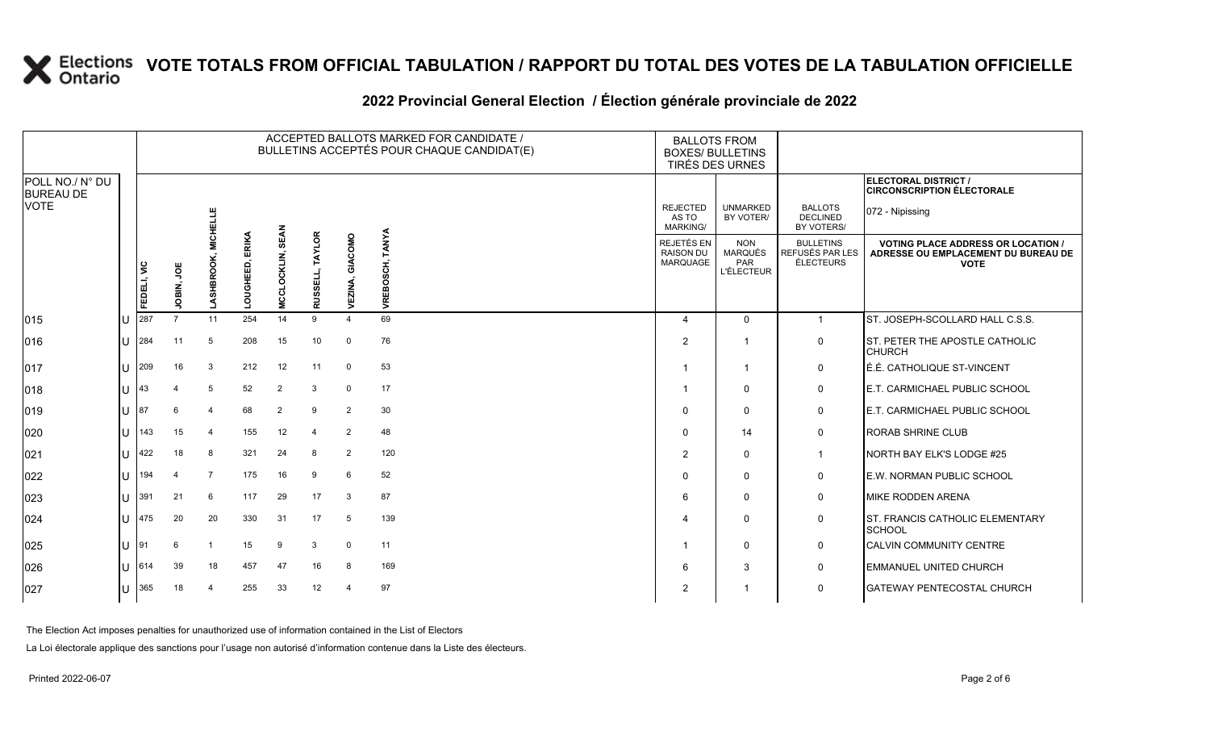### **2022 Provincial General Election / Élection générale provinciale de 2022**

|                                     |                  | ACCEPTED BALLOTS MARKED FOR CANDIDATE /<br>BULLETINS ACCEPTÉS POUR CHAQUE CANDIDAT(E) |                |                   |                    |                                |                           |                    |                           | <b>BALLOTS FROM</b><br><b>BOXES/ BULLETINS</b><br>TIRÉS DES URNES |                                                          |                                                  |                                                                                                 |
|-------------------------------------|------------------|---------------------------------------------------------------------------------------|----------------|-------------------|--------------------|--------------------------------|---------------------------|--------------------|---------------------------|-------------------------------------------------------------------|----------------------------------------------------------|--------------------------------------------------|-------------------------------------------------------------------------------------------------|
| POLL NO./ N° DU<br><b>BUREAU DE</b> |                  |                                                                                       |                |                   |                    |                                |                           |                    |                           |                                                                   |                                                          |                                                  | ELECTORAL DISTRICT /<br><b>CIRCONSCRIPTION ÉLECTORALE</b>                                       |
| <b>VOTE</b>                         |                  |                                                                                       |                | <b>MICHELLE</b>   |                    |                                |                           |                    |                           | <b>REJECTED</b><br>AS TO<br><b>MARKING/</b>                       | <b>UNMARKED</b><br>BY VOTER/                             | <b>BALLOTS</b><br><b>DECLINED</b><br>BY VOTERS/  | 072 - Nipissing                                                                                 |
|                                     |                  | FEDELI, VIC                                                                           | υg<br>JOBIN,   | <b>LASHBROOK,</b> | ERIKA<br>LOUGHEED, | <b>SEA</b><br>LOCKLIN,<br>MCCI | <b>TAYLOR</b><br>RUSSELL, | GIACOMO<br>VEZINA, | <b>TANYA</b><br>VREBOSCH, | REJETÉS EN<br><b>RAISON DU</b><br><b>MARQUAGE</b>                 | <b>NON</b><br><b>MARQUÉS</b><br>PAR<br><b>L'ÉLECTEUR</b> | <b>BULLETINS</b><br>REFUSÉS PAR LES<br>ÉLECTEURS | <b>VOTING PLACE ADDRESS OR LOCATION /</b><br>ADRESSE OU EMPLACEMENT DU BUREAU DE<br><b>VOTE</b> |
| 015                                 | U                | 287                                                                                   | $\overline{7}$ | 11                | 254                | 14                             | 9                         | $\Delta$           | 69                        | 4                                                                 | $\Omega$                                                 | $\mathbf{1}$                                     | ST. JOSEPH-SCOLLARD HALL C.S.S.                                                                 |
| 016                                 | $\cup$           | 284                                                                                   | 11             | 5                 | 208                | 15                             | 10                        | $\mathbf 0$        | 76                        | $\overline{2}$                                                    | -1                                                       | $\mathbf 0$                                      | ST. PETER THE APOSTLE CATHOLIC<br><b>CHURCH</b>                                                 |
| 017                                 | $\mathbf{U}$     | 209                                                                                   | 16             | 3                 | 212                | 12                             | 11                        | $\mathbf 0$        | 53                        |                                                                   | $\overline{\mathbf{1}}$                                  | $\mathbf 0$                                      | É.É. CATHOLIQUE ST-VINCENT                                                                      |
| 018                                 | $11 \mid 43$     |                                                                                       | 4              | 5                 | 52                 | $\overline{2}$                 | 3                         | $\mathbf 0$        | 17                        |                                                                   | $\mathbf 0$                                              | 0                                                | E.T. CARMICHAEL PUBLIC SCHOOL                                                                   |
| 019                                 |                  | $ 1 $ $ 87 $                                                                          | 6              | 4                 | 68                 | $\overline{2}$                 | ٩                         | 2                  | 30                        | $\Omega$                                                          | $\mathbf 0$                                              | $\mathbf 0$                                      | <b>E.T. CARMICHAEL PUBLIC SCHOOL</b>                                                            |
| 020                                 | $\mathbf{U}$     | 143                                                                                   | 15             | $\overline{4}$    | 155                | 12                             | $\overline{4}$            | $\overline{2}$     | 48                        | $\Omega$                                                          | 14                                                       | $\mathbf 0$                                      | <b>RORAB SHRINE CLUB</b>                                                                        |
| 021                                 | U                | 422                                                                                   | 18             | 8                 | 321                | 24                             | 8                         | 2                  | 120                       | $\overline{2}$                                                    | $\mathbf 0$                                              | $\mathbf{1}$                                     | NORTH BAY ELK'S LODGE #25                                                                       |
| 022                                 | U                | 194                                                                                   | 4              | $\overline{7}$    | 175                | 16                             | 9                         | 6                  | 52                        | $\Omega$                                                          | $\mathbf 0$                                              | $\mathbf 0$                                      | E.W. NORMAN PUBLIC SCHOOL                                                                       |
| 023                                 | $\mathbf{U}$     | 391                                                                                   | 21             | 6                 | 117                | 29                             | 17                        | 3                  | 87                        | 6                                                                 | $\mathbf 0$                                              | 0                                                | <b>MIKE RODDEN ARENA</b>                                                                        |
| 024                                 | $\mathbf{U}$     | 475                                                                                   | 20             | 20                | 330                | 31                             | 17                        | 5                  | 139                       | $\Delta$                                                          | $\Omega$                                                 | $\mathsf{O}$                                     | ST. FRANCIS CATHOLIC ELEMENTARY<br><b>SCHOOL</b>                                                |
| 025                                 | $\mathsf{U}$  91 |                                                                                       | 6              | $\overline{1}$    | 15                 | 9                              | 3                         | $\mathbf 0$        | 11                        |                                                                   | $\Omega$                                                 | $\mathbf 0$                                      | <b>CALVIN COMMUNITY CENTRE</b>                                                                  |
| 026                                 |                  | $11 \, 614$                                                                           | 39             | 18                | 457                | 47                             | 16                        | 8                  | 169                       | 6                                                                 | 3                                                        | $\mathbf 0$                                      | <b>EMMANUEL UNITED CHURCH</b>                                                                   |
| 027                                 | U                | 365                                                                                   | 18             | 4                 | 255                | 33                             | 12                        | 4                  | 97                        | 2                                                                 | -1                                                       | $\mathbf 0$                                      | <b>GATEWAY PENTECOSTAL CHURCH</b>                                                               |

The Election Act imposes penalties for unauthorized use of information contained in the List of Electors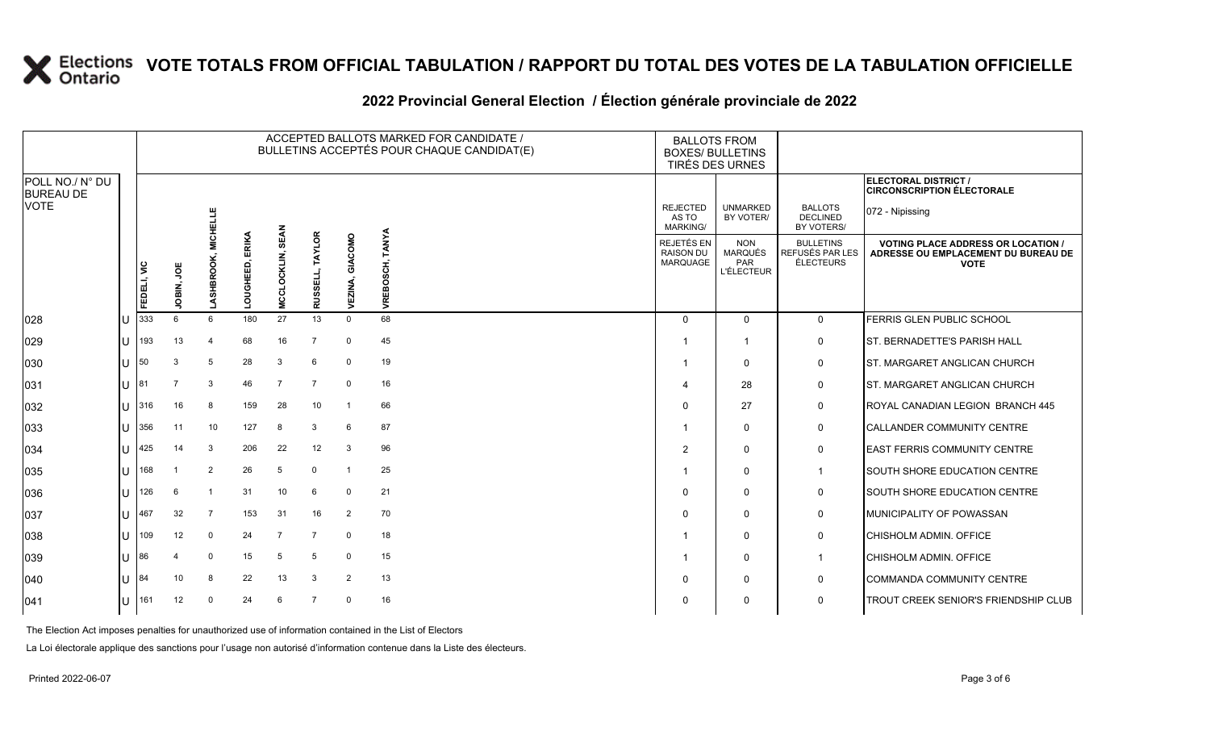### **2022 Provincial General Election / Élection générale provinciale de 2022**

|                                     |              |             |             |                |                    |                            |                               |                 | ACCEPTED BALLOTS MARKED FOR CANDIDATE /<br>BULLETINS ACCEPTÉS POUR CHAQUE CANDIDAT(E) | <b>BALLOTS FROM</b>                               | <b>BOXES/ BULLETINS</b><br>TIRÉS DES URNES               |                                                  |                                                                                               |
|-------------------------------------|--------------|-------------|-------------|----------------|--------------------|----------------------------|-------------------------------|-----------------|---------------------------------------------------------------------------------------|---------------------------------------------------|----------------------------------------------------------|--------------------------------------------------|-----------------------------------------------------------------------------------------------|
| POLL NO./ N° DU<br><b>BUREAU DE</b> |              |             |             |                |                    |                            |                               |                 |                                                                                       |                                                   |                                                          |                                                  | ELECTORAL DISTRICT /<br><b>CIRCONSCRIPTION ÉLECTORALE</b>                                     |
| <b>VOTE</b>                         |              |             |             | MICHELLE       |                    |                            |                               |                 |                                                                                       | <b>REJECTED</b><br>AS TO<br>MARKING/              | <b>UNMARKED</b><br>BY VOTER/                             | <b>BALLOTS</b><br><b>DECLINED</b><br>BY VOTERS/  | 072 - Nipissing                                                                               |
|                                     |              | FEDELI, VIC | ğ<br>JOBIN, | LASHBROOI      | ERIKA<br>LOUGHEED, | <b>SEAN</b><br>MCCLOCKLIN, | <b>TAYLOR</b><br>ЕЦ,<br>RUSSE | GIACOMO<br>VEZI | TANYA<br><b>VREBOSCH,</b>                                                             | <b>REJETÉS EN</b><br><b>RAISON DU</b><br>MARQUAGE | <b>NON</b><br><b>MARQUÉS</b><br>PAR<br><b>L'ÉLECTEUR</b> | <b>BULLETINS</b><br>REFUSÉS PAR LES<br>ÉLECTEURS | <b>VOTING PLACE ADDRESS OR LOCATION</b><br>ADRESSE OU EMPLACEMENT DU BUREAU DE<br><b>VOTE</b> |
| 028                                 |              | 333         | 6           | 6              | 180                | 27                         | 13                            | $\Omega$        | 68                                                                                    | $\Omega$                                          | $\Omega$                                                 | $\mathbf 0$                                      | FERRIS GLEN PUBLIC SCHOOL                                                                     |
| 029                                 | $\cup$       | 193         | 13          | $\overline{4}$ | 68                 | 16                         | $\overline{7}$                | $\mathbf 0$     | 45                                                                                    |                                                   | -1                                                       | 0                                                | ST. BERNADETTE'S PARISH HALL                                                                  |
| 030                                 | U            | 50          | 3           | 5              | 28                 | 3                          | 6                             | $\mathbf 0$     | 19                                                                                    |                                                   | $\Omega$                                                 | 0                                                | ST. MARGARET ANGLICAN CHURCH                                                                  |
| 031                                 | $\mathbf{U}$ | 181         | 7           | 3              | 46                 | -7                         | $\overline{7}$                | $\mathbf 0$     | 16                                                                                    | 4                                                 | 28                                                       | 0                                                | ST. MARGARET ANGLICAN CHURCH                                                                  |
| 032                                 | $\cup$       | 316         | 16          | 8              | 159                | 28                         | 10                            | $\overline{1}$  | 66                                                                                    | $\Omega$                                          | 27                                                       | 0                                                | ROYAL CANADIAN LEGION BRANCH 445                                                              |
| 033                                 | ΙU           | 356         | 11          | 10             | 127                | 8                          | 3                             | 6               | 87                                                                                    |                                                   | $\mathbf{0}$                                             | 0                                                | <b>CALLANDER COMMUNITY CENTRE</b>                                                             |
| 034                                 | $\mathbf{U}$ | 425         | 14          | 3              | 206                | 22                         | 12                            | 3               | 96                                                                                    | $\overline{2}$                                    | $\Omega$                                                 | 0                                                | EAST FERRIS COMMUNITY CENTRE                                                                  |
| 035                                 | U            | 168         |             | $\overline{2}$ | 26                 | 5                          | $\mathbf{0}$                  | $\overline{1}$  | 25                                                                                    |                                                   | $\Omega$                                                 | $\mathbf 1$                                      | <b>SOUTH SHORE EDUCATION CENTRE</b>                                                           |
| 036                                 | ΙU           | 126         | 6           |                | 31                 | 10                         | 6                             | $\mathbf 0$     | 21                                                                                    | $\Omega$                                          | $\Omega$                                                 | 0                                                | SOUTH SHORE EDUCATION CENTRE                                                                  |
| 037                                 | $\mathbf{U}$ | 467         | 32          | $\overline{7}$ | 153                | 31                         | 16                            | $\overline{2}$  | 70                                                                                    | $\Omega$                                          | $\Omega$                                                 | 0                                                | MUNICIPALITY OF POWASSAN                                                                      |
| 038                                 | $\cup$       | 109         | 12          | $\mathbf 0$    | 24                 | $\overline{7}$             | $\overline{7}$                | $\mathbf 0$     | 18                                                                                    |                                                   | $\Omega$                                                 | 0                                                | <b>CHISHOLM ADMIN. OFFICE</b>                                                                 |
| 039                                 | $\cup$       | 86          | 4           | $\mathbf 0$    | 15                 | 5                          | -5                            | $\mathbf 0$     | 15                                                                                    |                                                   | $\mathbf{0}$                                             | $\mathbf 1$                                      | CHISHOLM ADMIN. OFFICE                                                                        |
| 040                                 | U            | 184         | 10          | 8              | 22                 | 13                         | 3                             | $\overline{2}$  | 13                                                                                    | $\Omega$                                          | $\Omega$                                                 | 0                                                | COMMANDA COMMUNITY CENTRE                                                                     |
| 041                                 | $\cup$       | 161         | 12          | $\Omega$       | 24                 | 6                          | $\overline{7}$                | $\Omega$        | 16                                                                                    | $\Omega$                                          | $\Omega$                                                 | $\mathbf 0$                                      | TROUT CREEK SENIOR'S FRIENDSHIP CLUB                                                          |

The Election Act imposes penalties for unauthorized use of information contained in the List of Electors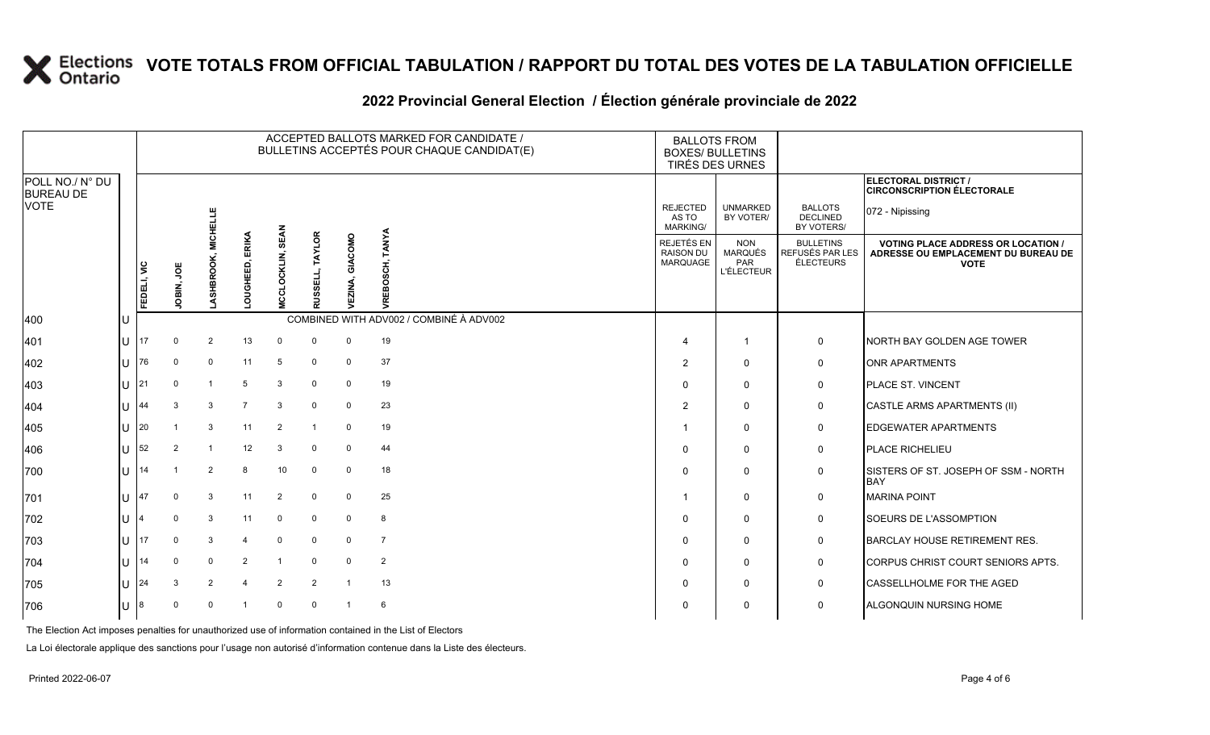|                                                    |              |    |               |                 |                |                    |                                   |                          | ACCEPTED BALLOTS MARKED FOR CANDIDATE /<br>BULLETINS ACCEPTÉS POUR CHAQUE CANDIDAT(E) | <b>BALLOTS FROM</b><br><b>BOXES/ BULLETINS</b><br>TIRÉS DES URNES |                                                   |                                                          |                                                                |                                                                                                 |
|----------------------------------------------------|--------------|----|---------------|-----------------|----------------|--------------------|-----------------------------------|--------------------------|---------------------------------------------------------------------------------------|-------------------------------------------------------------------|---------------------------------------------------|----------------------------------------------------------|----------------------------------------------------------------|-------------------------------------------------------------------------------------------------|
| POLL NO./ N° DU<br><b>BUREAU DE</b><br><b>VOTE</b> |              |    |               |                 |                |                    |                                   |                          |                                                                                       | <b>REJECTED</b>                                                   | <b>UNMARKED</b>                                   | <b>BALLOTS</b>                                           | ELECTORAL DISTRICT /<br><b>CIRCONSCRIPTION ÉLECTORALE</b>      |                                                                                                 |
|                                                    |              |    |               | <b>MICHELLE</b> |                |                    |                                   |                          |                                                                                       | AS TO<br>MARKING/                                                 | BY VOTER/                                         | <b>DECLINED</b><br>BY VOTERS/                            | 072 - Nipissing                                                |                                                                                                 |
|                                                    |              |    | FEDELI, VIC   | JOBIN, JOE      | SHBROOK,       | ERIKA<br>LOUGHEED, | <b>SEAN</b><br>LOCKLIN,<br>ō<br>ō | <b>TAYLOR</b><br>品<br>ö, | GIACOMO<br>≨                                                                          | TANYA<br>OSCH,<br>ŏ<br>yREI                                       | REJETÉS EN<br><b>RAISON DU</b><br><b>MARQUAGE</b> | <b>NON</b><br><b>MARQUÉS</b><br>PAR<br><b>L'ÉLECTEUR</b> | <b>BULLETINS</b><br><b>REFUSÉS PAR LES</b><br><b>ÉLECTEURS</b> | <b>VOTING PLACE ADDRESS OR LOCATION /</b><br>ADRESSE OU EMPLACEMENT DU BUREAU DE<br><b>VOTE</b> |
| 400                                                |              |    |               |                 |                |                    |                                   |                          | COMBINED WITH ADV002 / COMBINÉ À ADV002                                               |                                                                   |                                                   |                                                          |                                                                |                                                                                                 |
| 401                                                |              | 17 | $\Omega$      | $\overline{2}$  | 13             | $\overline{0}$     | $\mathbf 0$                       | $\mathbf 0$              | 19                                                                                    | 4                                                                 |                                                   | $\mathbf 0$                                              | NORTH BAY GOLDEN AGE TOWER                                     |                                                                                                 |
| 402                                                |              | 76 | $\Omega$      | $\Omega$        | 11             | 5                  | $\mathbf 0$                       | $\mathbf 0$              | 37                                                                                    | 2                                                                 | $\Omega$                                          | $\mathbf 0$                                              | <b>ONR APARTMENTS</b>                                          |                                                                                                 |
| 403                                                |              | 21 | $\Omega$      | $\overline{1}$  | 5              | 3                  | $\mathbf 0$                       | $\mathbf 0$              | 19                                                                                    | $\mathbf{0}$                                                      | $\mathbf 0$                                       | $\mathbf 0$                                              | PLACE ST. VINCENT                                              |                                                                                                 |
| 404                                                |              | 44 | 3             | 3               | $\overline{7}$ | 3                  | $\Omega$                          | $\mathbf 0$              | 23                                                                                    | $\overline{2}$                                                    | $\mathbf 0$                                       | $\mathbf 0$                                              | CASTLE ARMS APARTMENTS (II)                                    |                                                                                                 |
| 405                                                |              | 20 |               | 3               | 11             | $\overline{2}$     |                                   | $\mathbf 0$              | 19                                                                                    | 1                                                                 | $\Omega$                                          | $\mathbf 0$                                              | <b>EDGEWATER APARTMENTS</b>                                    |                                                                                                 |
| 406                                                |              | 52 | $\mathcal{P}$ | $\overline{1}$  | 12             | 3                  | $\mathbf 0$                       | $\mathbf 0$              | 44                                                                                    | $\mathbf{0}$                                                      | $\mathbf 0$                                       | $\mathbf 0$                                              | PLACE RICHELIEU                                                |                                                                                                 |
| 700                                                | $\mathbf{H}$ | 14 |               | $\overline{2}$  | 8              | 10                 | 0                                 | $\mathbf 0$              | 18                                                                                    | $\mathbf{0}$                                                      | $\mathbf 0$                                       | $\mathbf 0$                                              | SISTERS OF ST. JOSEPH OF SSM - NORTH<br><b>BAY</b>             |                                                                                                 |
| 701                                                |              | 47 | $\Omega$      | 3               | 11             | $\overline{2}$     | $\mathbf 0$                       | $\mathbf 0$              | 25                                                                                    | 1                                                                 | $\mathbf 0$                                       | $\mathbf 0$                                              | <b>MARINA POINT</b>                                            |                                                                                                 |
| 702                                                |              |    | $\Omega$      | 3               | 11             | $\mathbf 0$        | $\mathbf 0$                       | $\mathbf 0$              | 8                                                                                     | 0                                                                 | $\mathbf 0$                                       | 0                                                        | SOEURS DE L'ASSOMPTION                                         |                                                                                                 |
| 703                                                |              | 17 | $\Omega$      | 3               | $\Delta$       | $\mathbf 0$        | $\mathbf 0$                       | $\mathbf 0$              | $\overline{7}$                                                                        | $\mathbf{0}$                                                      | $\Omega$                                          | $\mathbf 0$                                              | <b>BARCLAY HOUSE RETIREMENT RES.</b>                           |                                                                                                 |
| 704                                                |              | 14 | $\Omega$      | $\mathbf 0$     | 2              | $\mathbf{1}$       | $\Omega$                          | $\Omega$                 | $\overline{2}$                                                                        | $\Omega$                                                          | 0                                                 | 0                                                        | CORPUS CHRIST COURT SENIORS APTS.                              |                                                                                                 |
| 705                                                |              | 24 | 3             | $\overline{2}$  | $\overline{4}$ | $\overline{2}$     | $\overline{2}$                    | $\overline{1}$           | 13                                                                                    | $\Omega$                                                          | $\mathbf 0$                                       | 0                                                        | CASSELLHOLME FOR THE AGED                                      |                                                                                                 |
| 706                                                | lU.          | 8  | $\Omega$      | 0               |                | $\mathbf 0$        | $\mathbf 0$                       |                          | 6                                                                                     | $\mathbf{0}$                                                      | $\Omega$                                          | $\mathbf 0$                                              | ALGONQUIN NURSING HOME                                         |                                                                                                 |

### **2022 Provincial General Election / Élection générale provinciale de 2022**

The Election Act imposes penalties for unauthorized use of information contained in the List of Electors

La Loi électorale applique des sanctions pour l'usage non autorisé d'information contenue dans la Liste des électeurs.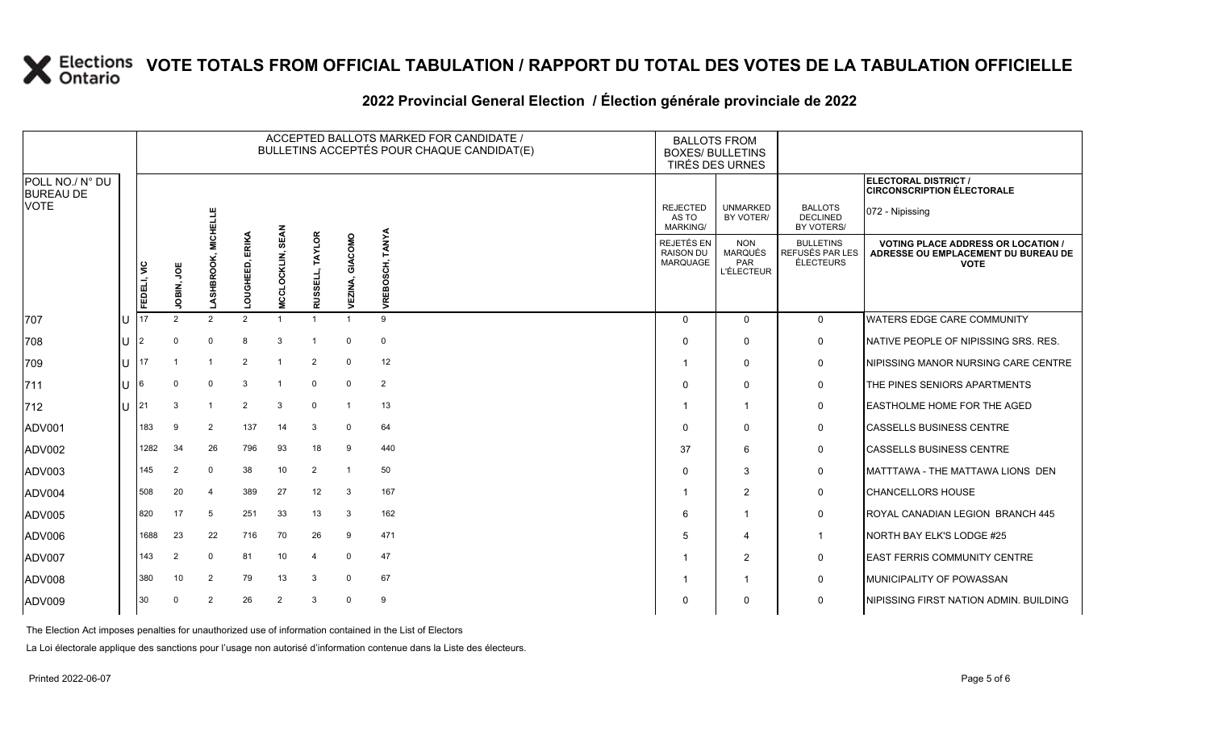### **2022 Provincial General Election / Élection générale provinciale de 2022**

|                                     |        |             |                |                 |                    |                         |                               |                    | ACCEPTED BALLOTS MARKED FOR CANDIDATE /<br>BULLETINS ACCEPTÉS POUR CHAQUE CANDIDAT(E) |                                            | <b>BALLOTS FROM</b><br><b>BOXES/ BULLETINS</b><br>TIRÉS DES URNES |                                                  |                                                                                                 |
|-------------------------------------|--------|-------------|----------------|-----------------|--------------------|-------------------------|-------------------------------|--------------------|---------------------------------------------------------------------------------------|--------------------------------------------|-------------------------------------------------------------------|--------------------------------------------------|-------------------------------------------------------------------------------------------------|
| POLL NO./ N° DU<br><b>BUREAU DE</b> |        |             |                |                 |                    |                         |                               |                    |                                                                                       |                                            |                                                                   |                                                  | <b>ELECTORAL DISTRICT /</b><br><b>CIRCONSCRIPTION ÉLECTORALE</b>                                |
| <b>VOTE</b>                         |        |             |                | <b>MICHELLE</b> |                    |                         |                               |                    |                                                                                       | <b>REJECTED</b><br>AS TO<br>MARKING/       | <b>UNMARKED</b><br>BY VOTER/                                      | <b>BALLOTS</b><br><b>DECLINED</b><br>BY VOTERS/  | 072 - Nipissing                                                                                 |
|                                     |        | FEDELI, VIC | ğ<br>JOBIN,    | LASHBROOH       | ERIKA<br>LOUGHEED, | <b>MCCLOCKLIN, SEAN</b> | <b>TAYLOR</b><br>ISSELL,<br>₹ | GIACOMO<br>VEZINA, | TANYA<br>VREBOSCH,                                                                    | REJETÉS EN<br><b>RAISON DU</b><br>MARQUAGE | <b>NON</b><br><b>MARQUÉS</b><br>PAR<br><b>L'ÉLECTEUR</b>          | <b>BULLETINS</b><br>REFUSÉS PAR LES<br>ÉLECTEURS | <b>VOTING PLACE ADDRESS OR LOCATION /</b><br>ADRESSE OU EMPLACEMENT DU BUREAU DE<br><b>VOTE</b> |
| 707                                 |        |             | $\overline{2}$ | $\overline{2}$  | $\overline{2}$     |                         |                               |                    | 9                                                                                     | $\Omega$                                   | $\Omega$                                                          | $\mathbf 0$                                      | <b>WATERS EDGE CARE COMMUNITY</b>                                                               |
| 708                                 | U      |             | $\Omega$       | $\Omega$        | 8                  | 3                       | -1                            | $\mathbf 0$        | $\mathbf 0$                                                                           | $\Omega$                                   | $\mathbf{0}$                                                      | 0                                                | NATIVE PEOPLE OF NIPISSING SRS. RES.                                                            |
| 709                                 | ΙU     | 17          |                |                 | 2                  |                         | $\overline{2}$                | $\Omega$           | 12                                                                                    | 1                                          | $\mathbf{0}$                                                      | 0                                                | NIPISSING MANOR NURSING CARE CENTRE                                                             |
| 711                                 | ΙU     | 16          | $\Omega$       | $\Omega$        | 3                  | -1                      | $\mathbf 0$                   | $\Omega$           | $\overline{2}$                                                                        | $\Omega$                                   | $\Omega$                                                          | 0                                                | THE PINES SENIORS APARTMENTS                                                                    |
| $ 712$                              | $\cup$ |             | 3              |                 | $\overline{2}$     | 3                       | $\mathbf{0}$                  | $\overline{1}$     | 13                                                                                    | -1                                         | $\mathbf{1}$                                                      | 0                                                | EASTHOLME HOME FOR THE AGED                                                                     |
| ADV001                              |        | 183         | 9              | $\overline{2}$  | 137                | 14                      | 3                             | $\mathbf 0$        | 64                                                                                    | $\Omega$                                   | $\mathbf 0$                                                       | $\mathbf 0$                                      | <b>CASSELLS BUSINESS CENTRE</b>                                                                 |
| ADV002                              |        | 1282        | 34             | 26              | 796                | 93                      | 18                            | 9                  | 440                                                                                   | 37                                         | 6                                                                 | $\mathbf 0$                                      | <b>CASSELLS BUSINESS CENTRE</b>                                                                 |
| ADV003                              |        | 145         | $\overline{2}$ | $\mathbf 0$     | 38                 | 10                      | $\overline{2}$                | $\overline{1}$     | 50                                                                                    | $\Omega$                                   | 3                                                                 | 0                                                | MATTTAWA - THE MATTAWA LIONS DEN                                                                |
| ADV004                              |        | 508         | 20             | 4               | 389                | 27                      | 12                            | 3                  | 167                                                                                   | -1                                         | 2                                                                 | 0                                                | <b>CHANCELLORS HOUSE</b>                                                                        |
| ADV005                              |        | 820         | 17             | 5               | 251                | 33                      | 13                            | 3                  | 162                                                                                   | 6                                          | -1                                                                | 0                                                | ROYAL CANADIAN LEGION BRANCH 445                                                                |
| ADV006                              |        | 1688        | 23             | 22              | 716                | 70                      | 26                            | 9                  | 471                                                                                   | 5                                          | $\overline{\mathbf{4}}$                                           | $\mathbf{1}$                                     | NORTH BAY ELK'S LODGE #25                                                                       |
| ADV007                              |        | 143         | $\overline{2}$ | $\Omega$        | 81                 | 10                      | $\overline{4}$                | $\mathbf 0$        | 47                                                                                    | -1                                         | 2                                                                 | 0                                                | <b>EAST FERRIS COMMUNITY CENTRE</b>                                                             |
| ADV008                              |        | 380         | 10             | $\overline{2}$  | 79                 | 13                      | 3                             | $\mathbf 0$        | 67                                                                                    |                                            | -1                                                                | 0                                                | MUNICIPALITY OF POWASSAN                                                                        |
| ADV009                              |        | 30          | $\Omega$       | 2               | 26                 | $\overline{2}$          | 3                             | $\Omega$           | 9                                                                                     | $\Omega$                                   | $\mathbf{0}$                                                      | $\mathbf 0$                                      | NIPISSING FIRST NATION ADMIN. BUILDING                                                          |

The Election Act imposes penalties for unauthorized use of information contained in the List of Electors